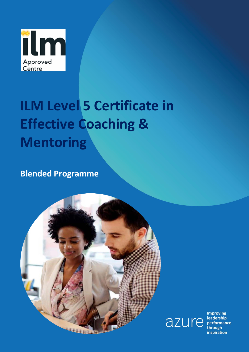

# **ILM Level 5 Certificate in Effective Coaching & Mentoring**

**Blended Programme**





**Improving** through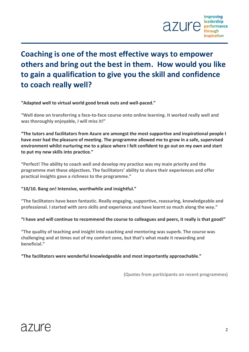

### **Coaching is one of the most effective ways to empower others and bring out the best in them. How would you like to gain a qualification to give you the skill and confidence to coach really well?**

**"Adapted well to virtual world good break outs and well-paced."**

**"Well done on transferring a face-to-face course onto online learning. It worked really well and was thoroughly enjoyable, I will miss it!"**

**"The tutors and facilitators from Azure are amongst the most supportive and inspirational people I have ever had the pleasure of meeting. The programme allowed me to grow in a safe, supervised environment whilst nurturing me to a place where I felt confident to go out on my own and start to put my new skills into practice."**

**"Perfect! The ability to coach well and develop my practice was my main priority and the programme met these objectives. The facilitators' ability to share their experiences and offer practical insights gave a richness to the programme."**

#### **"10/10. Bang on! Intensive, worthwhile and insightful."**

**"The facilitators have been fantastic. Really engaging, supportive, reassuring, knowledgeable and professional. I started with zero skills and experience and have learnt so much along the way."**

**"I have and will continue to recommend the course to colleagues and peers, it really is that good!"**

**"The quality of teaching and insight into coaching and mentoring was superb. The course was challenging and at times out of my comfort zone, but that's what made it rewarding and beneficial."**

**"The facilitators were wonderful knowledgeable and most importantly approachable."**

**(Quotes from participants on recent programmes)**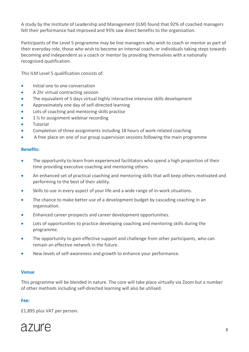A study by the Institute of Leadership and Management (ILM) found that 92% of coached managers felt their performance had improved and 95% saw direct benefits to the organisation.

Participants of the Level 5 programme may be line managers who wish to coach or mentor as part of their everyday role, those who wish to become an internal coach, or individuals taking steps towards becoming and independent as a coach or mentor by providing themselves with a nationally recognised qualification.

This ILM Level 5 qualification consists of:

- Initial one to one conversation
- A 2hr virtual contracting session
- The equivalent of 5 days virtual highly interactive intensive skills development
- Approximately one day of self-directed learning
- Lots of coaching and mentoring skills practise
- 1 1/2 hr assignment webinar recording
- **Tutorial**
- Completion of three assignments including 18 hours of work-related coaching
- A free place on one of our group supervision sessions following the main programme

#### **Benefits:**

- The opportunity to learn from experienced facilitators who spend a high proportion of their time providing executive coaching and mentoring others.
- An enhanced set of practical coaching and mentoring skills that will keep others motivated and performing to the best of their ability.
- Skills to use in every aspect of your life and a wide range of in-work situations.
- The chance to make better use of a development budget by cascading coaching in an organisation.
- Enhanced career prospects and career development opportunities.
- Lots of opportunities to practice developing coaching and mentoring skills during the programme.
- The opportunity to gain effective support and challenge from other participants, who can remain an effective network in the future.
- New levels of self-awareness and growth to enhance your performance.

#### **Venue**

This programme will be blended in nature. The core will take place virtually via Zoom but a number of other methods including self-directed learning will also be utilised.

#### **Fee:**

£1,895 plus VAT per person.

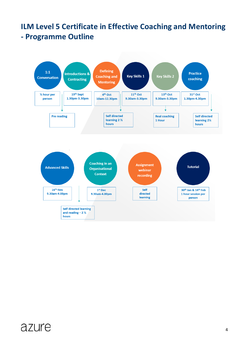### **ILM Level 5 Certificate in Effective Coaching and Mentoring - Programme Outline**

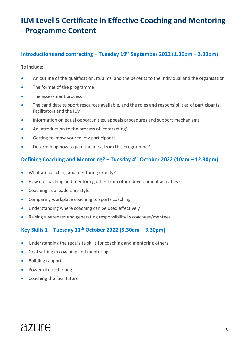### **ILM Level 5 Certificate in Effective Coaching and Mentoring - Programme Content**

### **Introductions and contracting – Tuesday 19th September 2022 (1.30pm – 3.30pm)**

To include:

- An outline of the qualification, its aims, and the benefits to the individual and the organisation
- The format of the programme
- The assessment process
- The candidate support resources available, and the roles and responsibilities of participants, Facilitators and the ILM
- Information on equal opportunities, appeals procedures and support mechanisms
- An introduction to the process of 'contracting'
- Getting to know your fellow participants
- Determining how to gain the most from this programme?

### **Defining Coaching and Mentoring? – Tuesday 4th October 2022 (10am – 12.30pm)**

- What are coaching and mentoring exactly?
- How do coaching and mentoring differ from other development activities?
- Coaching as a leadership style
- Comparing workplace coaching to sports coaching
- Understanding where coaching can be used effectively
- Raising awareness and generating responsibility in coachees/mentees

### **Key Skills 1 – Tuesday 11th October 2022 (9.30am – 3.30pm)**

- Understanding the requisite skills for coaching and mentoring others
- Goal setting in coaching and mentoring
- Building rapport
- Powerful questioning
- Coaching the facilitators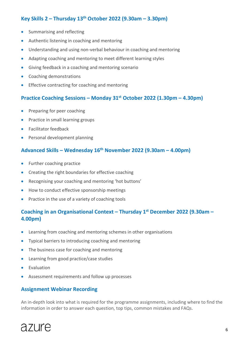### **Key Skills 2 – Thursday 13th October 2022 (9.30am – 3.30pm)**

- Summarising and reflecting
- Authentic listening in coaching and mentoring
- Understanding and using non-verbal behaviour in coaching and mentoring
- Adapting coaching and mentoring to meet different learning styles
- Giving feedback in a coaching and mentoring scenario
- Coaching demonstrations
- Effective contracting for coaching and mentoring

### **Practice Coaching Sessions – Monday 31st October 2022 (1.30pm – 4.30pm)**

- Preparing for peer coaching
- Practice in small learning groups
- Facilitator feedback
- Personal development planning

### **Advanced Skills – Wednesday 16 th November 2022 (9.30am – 4.00pm)**

- Further coaching practice
- Creating the right boundaries for effective coaching
- Recognising your coaching and mentoring 'hot buttons'
- How to conduct effective sponsorship meetings
- Practice in the use of a variety of coaching tools

### **Coaching in an Organisational Context – Thursday 1st December 2022 (9.30am – 4.00pm)**

- Learning from coaching and mentoring schemes in other organisations
- Typical barriers to introducing coaching and mentoring
- The business case for coaching and mentoring
- Learning from good practice/case studies
- Evaluation
- Assessment requirements and follow up processes

### **Assignment Webinar Recording**

An in-depth look into what is required for the programme assignments, including where to find the information in order to answer each question, top tips, common mistakes and FAQs.

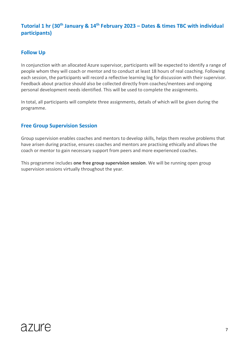### **Tutorial 1 hr (30th January & 14 th February 2023 – Dates & times TBC with individual participants)**

### **Follow Up**

In conjunction with an allocated Azure supervisor, participants will be expected to identify a range of people whom they will coach or mentor and to conduct at least 18 hours of real coaching. Following each session, the participants will record a reflective learning log for discussion with their supervisor. Feedback about practice should also be collected directly from coaches/mentees and ongoing personal development needs identified. This will be used to complete the assignments.

In total, all participants will complete three assignments, details of which will be given during the programme.

### **Free Group Supervision Session**

Group supervision enables coaches and mentors to develop skills, helps them resolve problems that have arisen during practise, ensures coaches and mentors are practising ethically and allows the coach or mentor to gain necessary support from peers and more experienced coaches.

This programme includes **one free group supervision session**. We will be running open group supervision sessions virtually throughout the year.